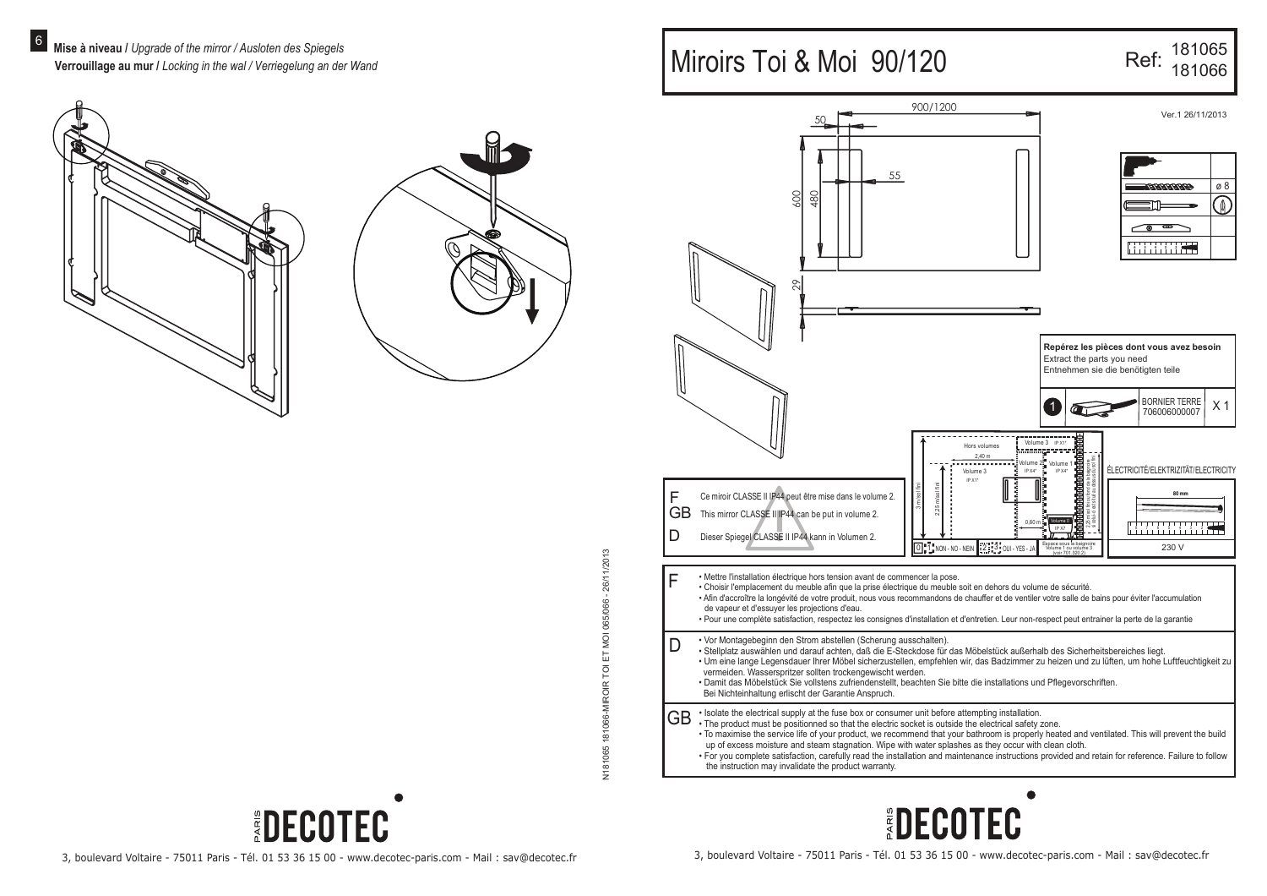



# $\mathbb{R}$

## Miroirs Toi & Moi 90/120

# Ref: 181065

|              | 900/1200                                                                                                                                                                                                                                                                                                                                                                                                                                                                                                                                                                                                                                                                         |                                                                                        |                                                                                                                                                                                                                                                                               |
|--------------|----------------------------------------------------------------------------------------------------------------------------------------------------------------------------------------------------------------------------------------------------------------------------------------------------------------------------------------------------------------------------------------------------------------------------------------------------------------------------------------------------------------------------------------------------------------------------------------------------------------------------------------------------------------------------------|----------------------------------------------------------------------------------------|-------------------------------------------------------------------------------------------------------------------------------------------------------------------------------------------------------------------------------------------------------------------------------|
|              |                                                                                                                                                                                                                                                                                                                                                                                                                                                                                                                                                                                                                                                                                  |                                                                                        | Ver. 1 26/11/2013                                                                                                                                                                                                                                                             |
|              | 55<br>600<br>480<br>29                                                                                                                                                                                                                                                                                                                                                                                                                                                                                                                                                                                                                                                           |                                                                                        | ø8<br>8888888<br>≬                                                                                                                                                                                                                                                            |
|              |                                                                                                                                                                                                                                                                                                                                                                                                                                                                                                                                                                                                                                                                                  | Hors volumes<br>2,40 m<br>$\sqrt{$ olume $2\frac{3}{2}$<br>IP X4*<br>Volume 3          | Repérez les pièces dont vous avez besoin<br>Extract the parts you need<br>Entnehmen sie die benötigten teile<br><b>BORNIER TERRE</b><br>X <sub>1</sub><br>$\overline{1}$<br>706006000007<br>Volume 3 IP X1*<br><br>Volume 1<br>ÉLECTRICITÉ/ELEKTRIZITÄT/ELECTRICITY<br>IP X4* |
| F<br>GB<br>D | $,25 \, \mathrm{m/sol}$ fini<br>m/sol fin<br>Ce miroir CLASSE II IP44 peut être mise dans le volume 2.<br>This mirror CLASSE II IP44 can be put in volume 2.<br>Dieser Spiegel CLASSE II IP44 kann in Volumen 2.                                                                                                                                                                                                                                                                                                                                                                                                                                                                 | IP X1*<br>0.60 m<br>$\overline{0}$ $\overline{1}$ NON - NO - NEIN<br>2 3 0UI - YES - J | i ou fond dela baignoire<br>situé au dessus du sol fini<br>热油油油油<br>$80 \text{ mm}$<br>solfini<br>-ciests<br>IP X7<br>Espace sous la baignoir<br>230 V                                                                                                                        |
| F            | · Mettre l'installation électrique hors tension avant de commencer la pose.<br>· Choisir l'emplacement du meuble afin que la prise électrique du meuble soit en dehors du volume de sécurité.<br>· Afin d'accroître la longévité de votre produit, nous vous recommandons de chauffer et de ventiler votre salle de bains pour éviter l'accumulation<br>de vapeur et d'essuyer les projections d'eau.<br>· Pour une complète satisfaction, respectez les consignes d'installation et d'entretien. Leur non-respect peut entrainer la perte de la garantie                                                                                                                        |                                                                                        |                                                                                                                                                                                                                                                                               |
| D            | • Vor Montagebeginn den Strom abstellen (Scherung ausschalten).<br>· Stellplatz auswählen und darauf achten, daß die E-Steckdose für das Möbelstück außerhalb des Sicherheitsbereiches liegt.<br>· Um eine lange Legensdauer Ihrer Möbel sicherzustellen, empfehlen wir, das Badzimmer zu heizen und zu lüften, um hohe Luftfeuchtigkeit zu<br>vermeiden. Wasserspritzer sollten trockengewischt werden.<br>· Damit das Möbelstück Sie vollstens zufriendenstellt, beachten Sie bitte die installations und Pflegevorschriften.<br>Bei Nichteinhaltung erlischt der Garantie Anspruch.                                                                                           |                                                                                        |                                                                                                                                                                                                                                                                               |
| GВ           | . Isolate the electrical supply at the fuse box or consumer unit before attempting installation.<br>. The product must be positionned so that the electric socket is outside the electrical safety zone.<br>· To maximise the service life of your product, we recommend that your bathroom is properly heated and ventilated. This will prevent the build<br>up of excess moisture and steam stagnation. Wipe with water splashes as they occur with clean cloth.<br>. For you complete satisfaction, carefully read the installation and maintenance instructions provided and retain for reference. Failure to follow<br>the instruction may invalidate the product warranty. |                                                                                        |                                                                                                                                                                                                                                                                               |





*EDECOTEC*